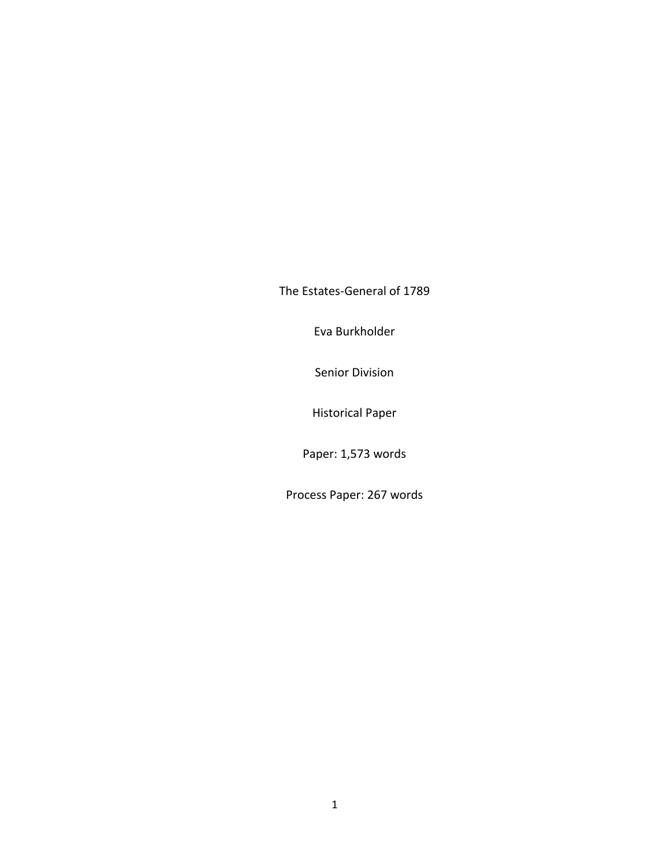The Estates-General of 1789

Eva Burkholder

Senior Division

Historical Paper

Paper: 1,573 words

Process Paper: 267 words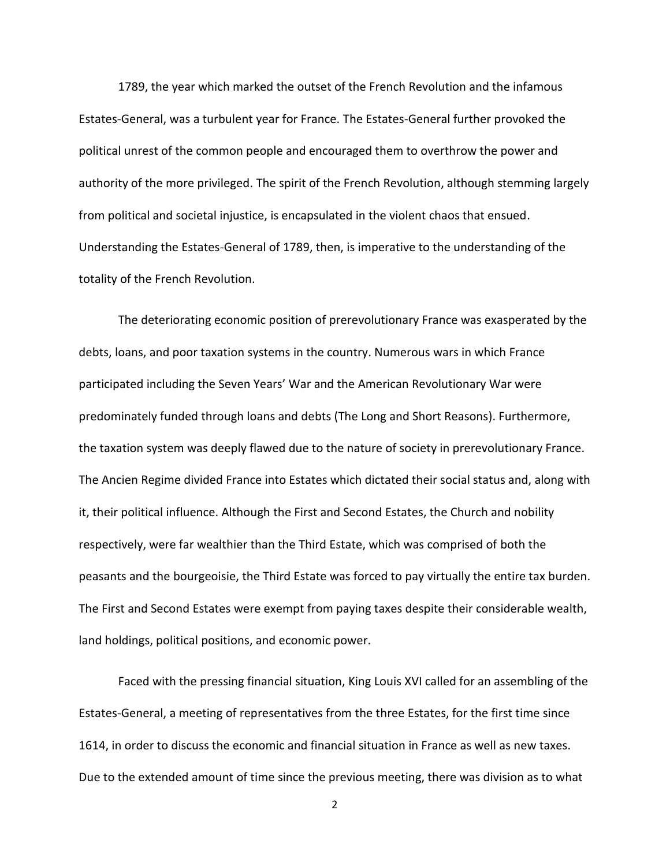1789, the year which marked the outset of the French Revolution and the infamous Estates-General, was a turbulent year for France. The Estates-General further provoked the political unrest of the common people and encouraged them to overthrow the power and authority of the more privileged. The spirit of the French Revolution, although stemming largely from political and societal injustice, is encapsulated in the violent chaos that ensued. Understanding the Estates-General of 1789, then, is imperative to the understanding of the totality of the French Revolution.

The deteriorating economic position of prerevolutionary France was exasperated by the debts, loans, and poor taxation systems in the country. Numerous wars in which France participated including the Seven Years' War and the American Revolutionary War were predominately funded through loans and debts (The Long and Short Reasons). Furthermore, the taxation system was deeply flawed due to the nature of society in prerevolutionary France. The Ancien Regime divided France into Estates which dictated their social status and, along with it, their political influence. Although the First and Second Estates, the Church and nobility respectively, were far wealthier than the Third Estate, which was comprised of both the peasants and the bourgeoisie, the Third Estate was forced to pay virtually the entire tax burden. The First and Second Estates were exempt from paying taxes despite their considerable wealth, land holdings, political positions, and economic power.

Faced with the pressing financial situation, King Louis XVI called for an assembling of the Estates-General, a meeting of representatives from the three Estates, for the first time since 1614, in order to discuss the economic and financial situation in France as well as new taxes. Due to the extended amount of time since the previous meeting, there was division as to what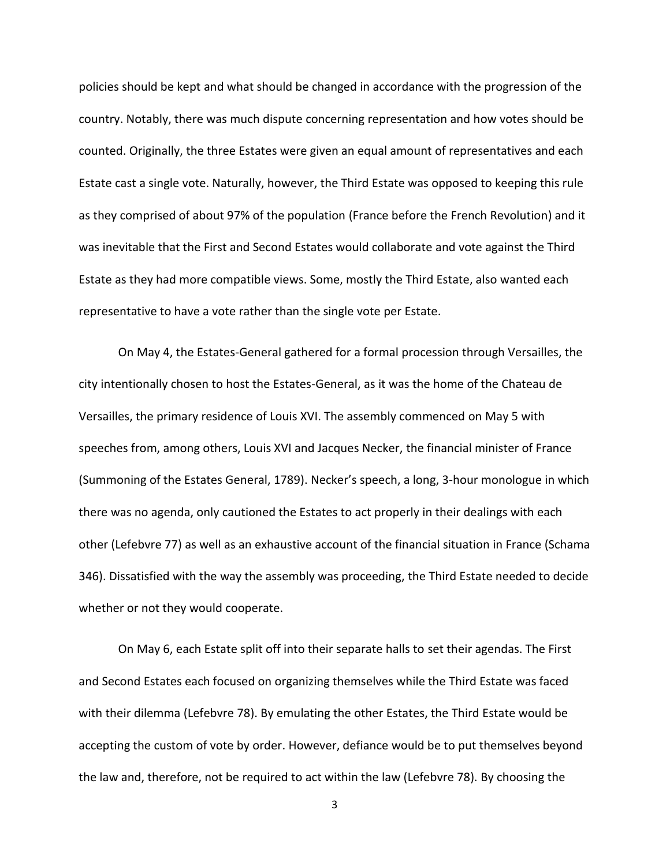policies should be kept and what should be changed in accordance with the progression of the country. Notably, there was much dispute concerning representation and how votes should be counted. Originally, the three Estates were given an equal amount of representatives and each Estate cast a single vote. Naturally, however, the Third Estate was opposed to keeping this rule as they comprised of about 97% of the population (France before the French Revolution) and it was inevitable that the First and Second Estates would collaborate and vote against the Third Estate as they had more compatible views. Some, mostly the Third Estate, also wanted each representative to have a vote rather than the single vote per Estate.

On May 4, the Estates-General gathered for a formal procession through Versailles, the city intentionally chosen to host the Estates-General, as it was the home of the Chateau de Versailles, the primary residence of Louis XVI. The assembly commenced on May 5 with speeches from, among others, Louis XVI and Jacques Necker, the financial minister of France (Summoning of the Estates General, 1789). Necker's speech, a long, 3-hour monologue in which there was no agenda, only cautioned the Estates to act properly in their dealings with each other (Lefebvre 77) as well as an exhaustive account of the financial situation in France (Schama 346). Dissatisfied with the way the assembly was proceeding, the Third Estate needed to decide whether or not they would cooperate.

On May 6, each Estate split off into their separate halls to set their agendas. The First and Second Estates each focused on organizing themselves while the Third Estate was faced with their dilemma (Lefebvre 78). By emulating the other Estates, the Third Estate would be accepting the custom of vote by order. However, defiance would be to put themselves beyond the law and, therefore, not be required to act within the law (Lefebvre 78). By choosing the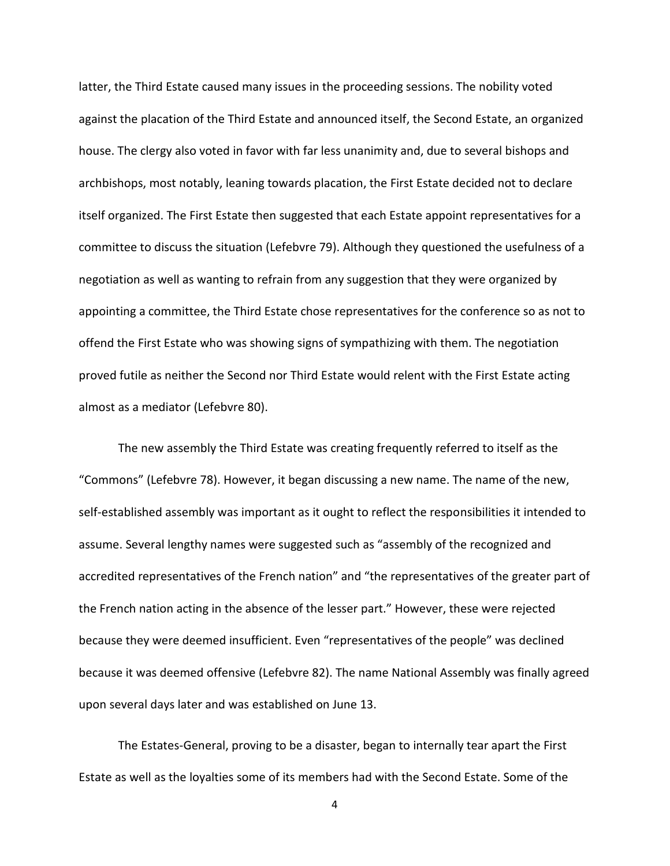latter, the Third Estate caused many issues in the proceeding sessions. The nobility voted against the placation of the Third Estate and announced itself, the Second Estate, an organized house. The clergy also voted in favor with far less unanimity and, due to several bishops and archbishops, most notably, leaning towards placation, the First Estate decided not to declare itself organized. The First Estate then suggested that each Estate appoint representatives for a committee to discuss the situation (Lefebvre 79). Although they questioned the usefulness of a negotiation as well as wanting to refrain from any suggestion that they were organized by appointing a committee, the Third Estate chose representatives for the conference so as not to offend the First Estate who was showing signs of sympathizing with them. The negotiation proved futile as neither the Second nor Third Estate would relent with the First Estate acting almost as a mediator (Lefebvre 80).

The new assembly the Third Estate was creating frequently referred to itself as the "Commons" (Lefebvre 78). However, it began discussing a new name. The name of the new, self-established assembly was important as it ought to reflect the responsibilities it intended to assume. Several lengthy names were suggested such as "assembly of the recognized and accredited representatives of the French nation" and "the representatives of the greater part of the French nation acting in the absence of the lesser part." However, these were rejected because they were deemed insufficient. Even "representatives of the people" was declined because it was deemed offensive (Lefebvre 82). The name National Assembly was finally agreed upon several days later and was established on June 13.

The Estates-General, proving to be a disaster, began to internally tear apart the First Estate as well as the loyalties some of its members had with the Second Estate. Some of the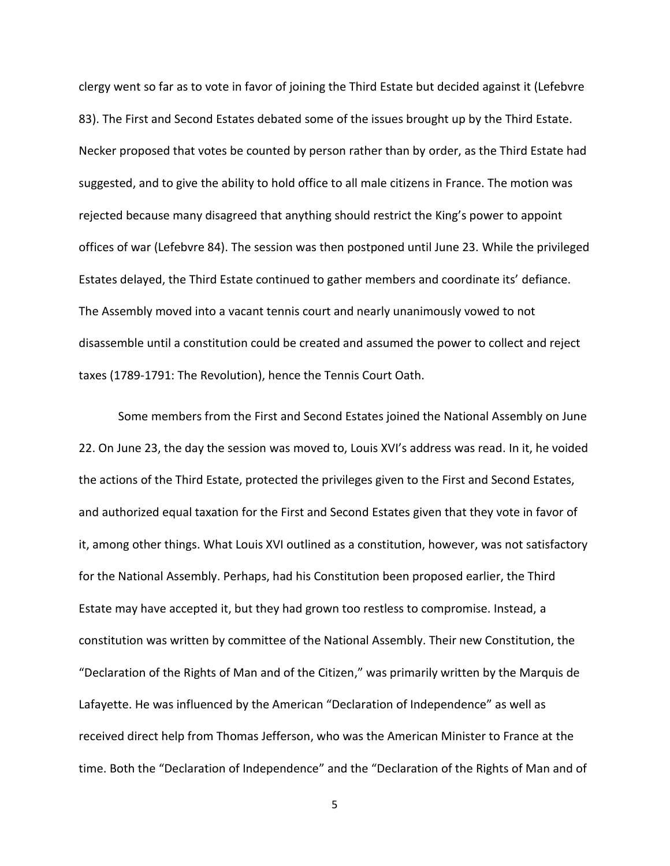clergy went so far as to vote in favor of joining the Third Estate but decided against it (Lefebvre 83). The First and Second Estates debated some of the issues brought up by the Third Estate. Necker proposed that votes be counted by person rather than by order, as the Third Estate had suggested, and to give the ability to hold office to all male citizens in France. The motion was rejected because many disagreed that anything should restrict the King's power to appoint offices of war (Lefebvre 84). The session was then postponed until June 23. While the privileged Estates delayed, the Third Estate continued to gather members and coordinate its' defiance. The Assembly moved into a vacant tennis court and nearly unanimously vowed to not disassemble until a constitution could be created and assumed the power to collect and reject taxes (1789-1791: The Revolution), hence the Tennis Court Oath.

Some members from the First and Second Estates joined the National Assembly on June 22. On June 23, the day the session was moved to, Louis XVI's address was read. In it, he voided the actions of the Third Estate, protected the privileges given to the First and Second Estates, and authorized equal taxation for the First and Second Estates given that they vote in favor of it, among other things. What Louis XVI outlined as a constitution, however, was not satisfactory for the National Assembly. Perhaps, had his Constitution been proposed earlier, the Third Estate may have accepted it, but they had grown too restless to compromise. Instead, a constitution was written by committee of the National Assembly. Their new Constitution, the "Declaration of the Rights of Man and of the Citizen," was primarily written by the Marquis de Lafayette. He was influenced by the American "Declaration of Independence" as well as received direct help from Thomas Jefferson, who was the American Minister to France at the time. Both the "Declaration of Independence" and the "Declaration of the Rights of Man and of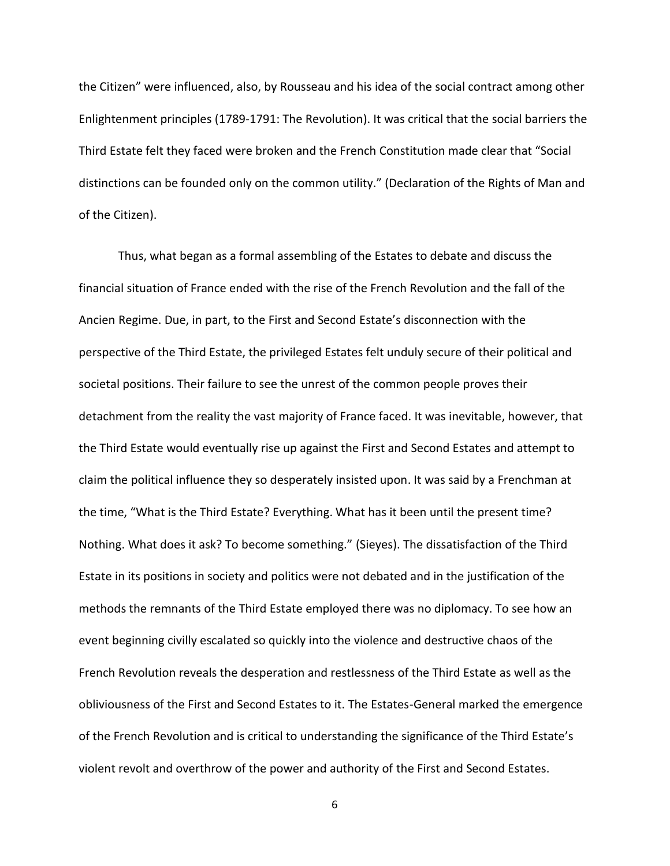the Citizen" were influenced, also, by Rousseau and his idea of the social contract among other Enlightenment principles (1789-1791: The Revolution). It was critical that the social barriers the Third Estate felt they faced were broken and the French Constitution made clear that "Social distinctions can be founded only on the common utility." (Declaration of the Rights of Man and of the Citizen).

Thus, what began as a formal assembling of the Estates to debate and discuss the financial situation of France ended with the rise of the French Revolution and the fall of the Ancien Regime. Due, in part, to the First and Second Estate's disconnection with the perspective of the Third Estate, the privileged Estates felt unduly secure of their political and societal positions. Their failure to see the unrest of the common people proves their detachment from the reality the vast majority of France faced. It was inevitable, however, that the Third Estate would eventually rise up against the First and Second Estates and attempt to claim the political influence they so desperately insisted upon. It was said by a Frenchman at the time, "What is the Third Estate? Everything. What has it been until the present time? Nothing. What does it ask? To become something." (Sieyes). The dissatisfaction of the Third Estate in its positions in society and politics were not debated and in the justification of the methods the remnants of the Third Estate employed there was no diplomacy. To see how an event beginning civilly escalated so quickly into the violence and destructive chaos of the French Revolution reveals the desperation and restlessness of the Third Estate as well as the obliviousness of the First and Second Estates to it. The Estates-General marked the emergence of the French Revolution and is critical to understanding the significance of the Third Estate's violent revolt and overthrow of the power and authority of the First and Second Estates.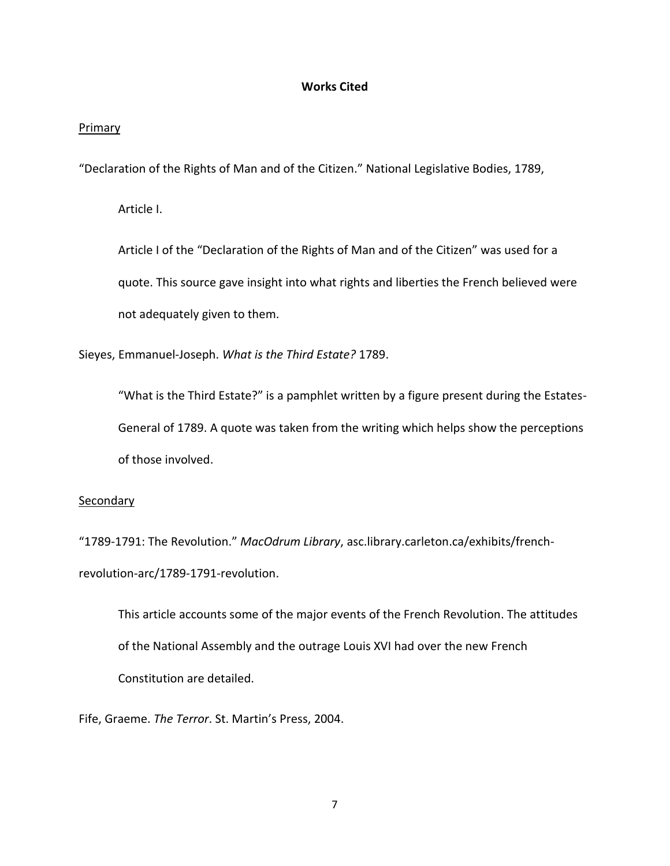## **Works Cited**

## Primary

"Declaration of the Rights of Man and of the Citizen." National Legislative Bodies, 1789,

Article I.

Article I of the "Declaration of the Rights of Man and of the Citizen" was used for a quote. This source gave insight into what rights and liberties the French believed were not adequately given to them.

Sieyes, Emmanuel-Joseph. *What is the Third Estate?* 1789.

"What is the Third Estate?" is a pamphlet written by a figure present during the Estates-General of 1789. A quote was taken from the writing which helps show the perceptions of those involved.

## **Secondary**

"1789-1791: The Revolution." *MacOdrum Library*, asc.library.carleton.ca/exhibits/frenchrevolution-arc/1789-1791-revolution.

This article accounts some of the major events of the French Revolution. The attitudes of the National Assembly and the outrage Louis XVI had over the new French Constitution are detailed.

Fife, Graeme. *The Terror*. St. Martin's Press, 2004.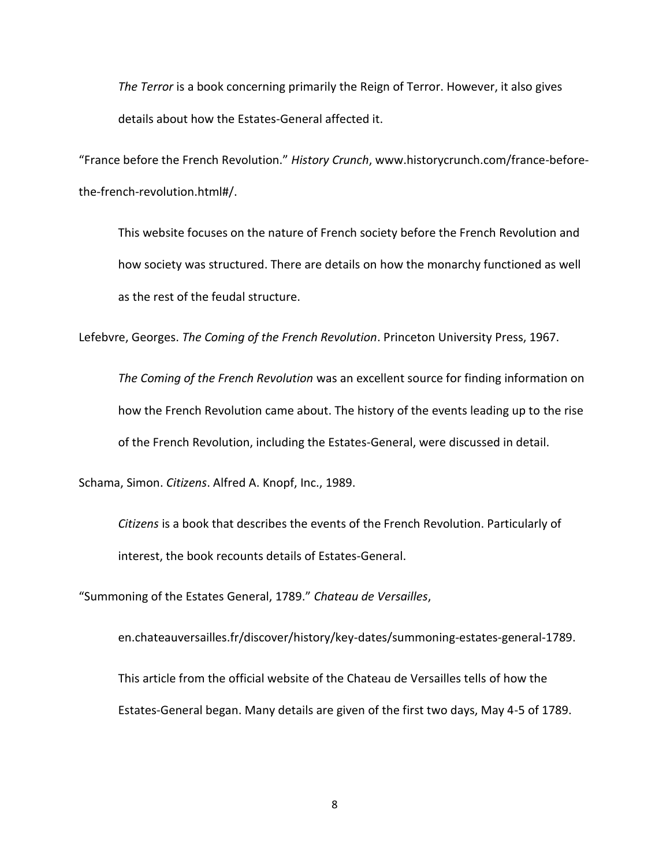*The Terror* is a book concerning primarily the Reign of Terror. However, it also gives details about how the Estates-General affected it.

"France before the French Revolution." *History Crunch*, [www.historycrunch.com/france-before](http://www.historycrunch.com/france-before-the-)[the-f](http://www.historycrunch.com/france-before-the-)rench-revolution.html#/.

This website focuses on the nature of French society before the French Revolution and how society was structured. There are details on how the monarchy functioned as well as the rest of the feudal structure.

Lefebvre, Georges. *The Coming of the French Revolution*. Princeton University Press, 1967.

*The Coming of the French Revolution* was an excellent source for finding information on how the French Revolution came about. The history of the events leading up to the rise of the French Revolution, including the Estates-General, were discussed in detail.

Schama, Simon. *Citizens*. Alfred A. Knopf, Inc., 1989.

*Citizens* is a book that describes the events of the French Revolution. Particularly of interest, the book recounts details of Estates-General.

"Summoning of the Estates General, 1789." *Chateau de Versailles*,

en.chateauversailles.fr/discover/history/key-dates/summoning-estates-general-1789. This article from the official website of the Chateau de Versailles tells of how the Estates-General began. Many details are given of the first two days, May 4-5 of 1789.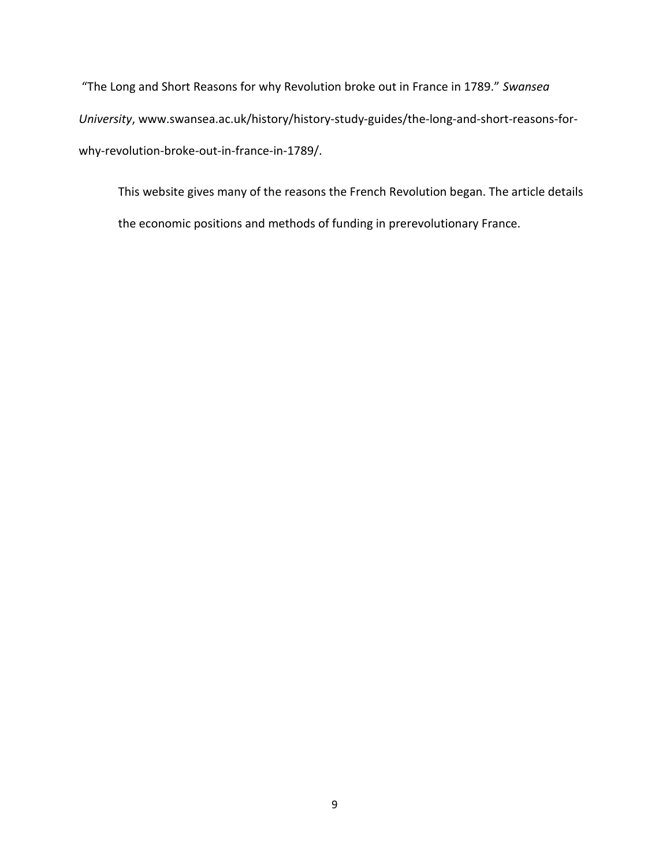"The Long and Short Reasons for why Revolution broke out in France in 1789." *Swansea University*, [www.swansea.ac.uk/history/history-study-guides/the-long-and-short-reasons-for](http://www.swansea.ac.uk/history/history-study-guides/the-long-and-short-reasons-for-why-)[why-r](http://www.swansea.ac.uk/history/history-study-guides/the-long-and-short-reasons-for-why-)evolution-broke-out-in-france-in-1789/.

This website gives many of the reasons the French Revolution began. The article details the economic positions and methods of funding in prerevolutionary France.